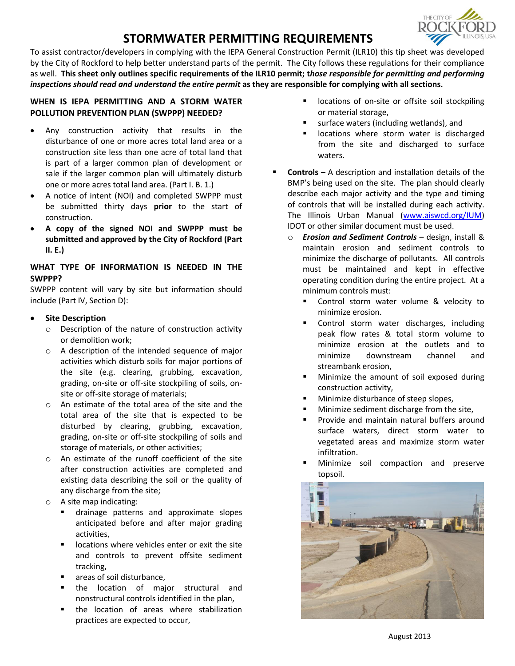# **STORMWATER PERMITTING REQUIREMENTS**



To assist contractor/developers in complying with the IEPA General Construction Permit (ILR10) this tip sheet was developed by the City of Rockford to help better understand parts of the permit. The City follows these regulations for their compliance as well. **This sheet only outlines specific requirements of the ILR10 permit; t***hose responsible for permitting and performing inspections should read and understand the entire permit* **as they are responsible for complying with all sections.**

## **WHEN IS IEPA PERMITTING AND A STORM WATER POLLUTION PREVENTION PLAN (SWPPP) NEEDED?**

- Any construction activity that results in the disturbance of one or more acres total land area or a construction site less than one acre of total land that is part of a larger common plan of development or sale if the larger common plan will ultimately disturb one or more acres total land area. (Part I. B. 1.)
- A notice of intent (NOI) and completed SWPPP must be submitted thirty days **prior** to the start of construction.
- **A copy of the signed NOI and SWPPP must be submitted and approved by the City of Rockford (Part II. E.)**

## **WHAT TYPE OF INFORMATION IS NEEDED IN THE SWPPP?**

SWPPP content will vary by site but information should include (Part IV, Section D):

## **Site Description**

- o Description of the nature of construction activity or demolition work;
- o A description of the intended sequence of major activities which disturb soils for major portions of the site (e.g. clearing, grubbing, excavation, grading, on-site or off-site stockpiling of soils, onsite or off-site storage of materials;
- o An estimate of the total area of the site and the total area of the site that is expected to be disturbed by clearing, grubbing, excavation, grading, on-site or off-site stockpiling of soils and storage of materials, or other activities;
- o An estimate of the runoff coefficient of the site after construction activities are completed and existing data describing the soil or the quality of any discharge from the site;
- o A site map indicating:
	- drainage patterns and approximate slopes anticipated before and after major grading activities,
	- locations where vehicles enter or exit the site and controls to prevent offsite sediment tracking,
	- areas of soil disturbance,
	- the location of major structural and nonstructural controls identified in the plan,
	- the location of areas where stabilization practices are expected to occur,
- locations of on-site or offsite soil stockpiling or material storage,
- surface waters (including wetlands), and
- locations where storm water is discharged from the site and discharged to surface waters.
- **Controls**  A description and installation details of the BMP's being used on the site. The plan should clearly describe each major activity and the type and timing of controls that will be installed during each activity. The Illinois Urban Manual [\(www.aiswcd.org/IUM\)](http://www.aiswcd.org/IUM) IDOT or other similar document must be used.
	- o *Erosion and Sediment Controls* design, install & maintain erosion and sediment controls to minimize the discharge of pollutants. All controls must be maintained and kept in effective operating condition during the entire project. At a minimum controls must:
		- Control storm water volume & velocity to minimize erosion.
		- Control storm water discharges, including peak flow rates & total storm volume to minimize erosion at the outlets and to minimize downstream channel and streambank erosion,
		- Minimize the amount of soil exposed during construction activity,
		- Minimize disturbance of steep slopes,
		- Minimize sediment discharge from the site,
		- Provide and maintain natural buffers around surface waters, direct storm water to vegetated areas and maximize storm water infiltration.
		- Minimize soil compaction and preserve topsoil.